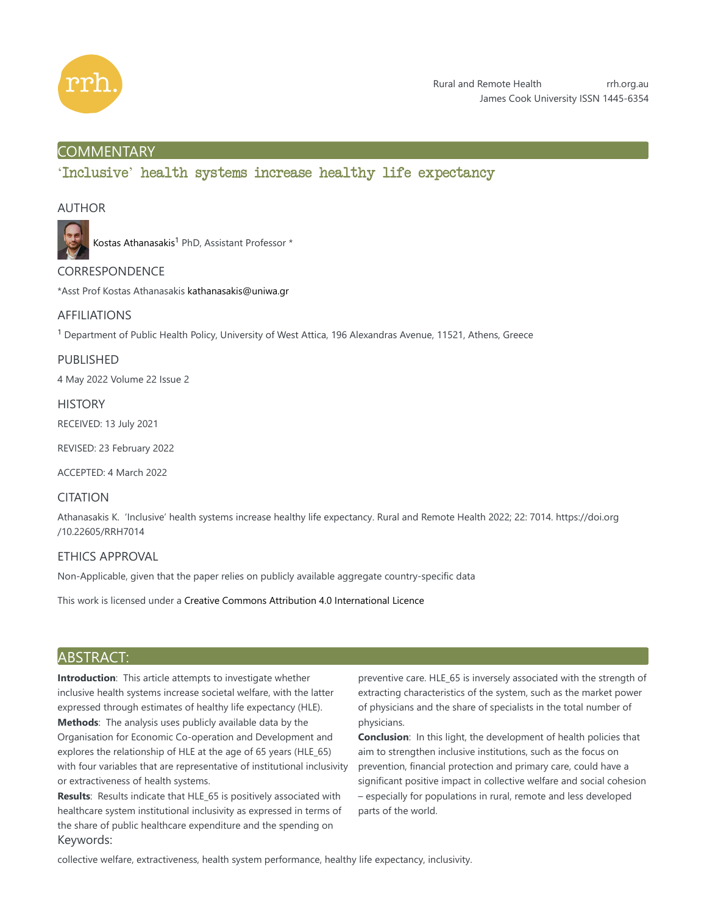

# **COMMENTARY**

'Inclusive' health systems increase healthy life expectancy

## AUTHOR



Kostas Athanasakis<sup>1</sup> PhD, Assistant Professor \*

# **CORRESPONDENCE**

\*Asst Prof Kostas Athanasakis kathanasakis@uniwa.gr

## AFFILIATIONS

 $<sup>1</sup>$  Department of Public Health Policy, University of West Attica, 196 Alexandras Avenue, 11521, Athens, Greece</sup>

PUBLISHED 4 May 2022 Volume 22 Issue 2

**HISTORY** 

RECEIVED: 13 July 2021

REVISED: 23 February 2022

ACCEPTED: 4 March 2022

# CITATION

Athanasakis K. 'Inclusive' health systems increase healthy life expectancy. Rural and Remote Health 2022; 22: 7014. https://doi.org /10.22605/RRH7014

### ETHICS APPROVAL

Non-Applicable, given that the paper relies on publicly available aggregate country-specific data

This work is licensed under a Creative Commons Attribution 4.0 International Licence

## ABSTRACT:

**Introduction**: This article attempts to investigate whether inclusive health systems increase societal welfare, with the latter expressed through estimates of healthy life expectancy (HLE). **Methods**: The analysis uses publicly available data by the Organisation for Economic Co-operation and Development and explores the relationship of HLE at the age of 65 years (HLE\_65) with four variables that are representative of institutional inclusivity or extractiveness of health systems.

**Results**: Results indicate that HLE\_65 is positively associated with healthcare system institutional inclusivity as expressed in terms of the share of public healthcare expenditure and the spending on Keywords:

preventive care. HLE\_65 is inversely associated with the strength of extracting characteristics of the system, such as the market power of physicians and the share of specialists in the total number of physicians.

**Conclusion**: In this light, the development of health policies that aim to strengthen inclusive institutions, such as the focus on prevention, financial protection and primary care, could have a significant positive impact in collective welfare and social cohesion – especially for populations in rural, remote and less developed parts of the world.

collective welfare, extractiveness, health system performance, healthy life expectancy, inclusivity.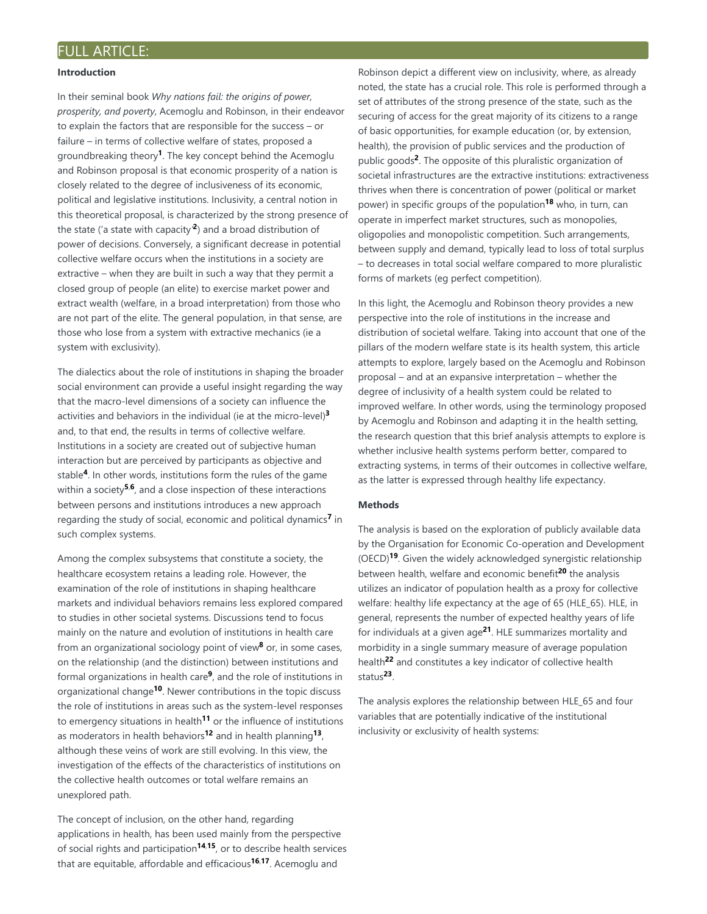#### **Introduction**

In their seminal book *Why nations fail: the origins of power, prosperity, and poverty*, Acemoglu and Robinson, in their endeavor to explain the factors that are responsible for the success – or failure – in terms of collective welfare of states, proposed a groundbreaking theory<sup>1</sup>. The key concept behind the Acemoglu and Robinson proposal is that economic prosperity of a nation is closely related to the degree of inclusiveness of its economic, political and legislative institutions. Inclusivity, a central notion in this theoretical proposal, is characterized by the strong presence of the state ('a state with capacity<sup>2</sup>) and a broad distribution of power of decisions. Conversely, a significant decrease in potential collective welfare occurs when the institutions in a society are extractive – when they are built in such a way that they permit a closed group of people (an elite) to exercise market power and extract wealth (welfare, in a broad interpretation) from those who are not part of the elite. The general population, in that sense, are those who lose from a system with extractive mechanics (ie a system with exclusivity).

The dialectics about the role of institutions in shaping the broader social environment can provide a useful insight regarding the way that the macro-level dimensions of a society can influence the activities and behaviors in the individual (ie at the micro-level) **3** and, to that end, the results in terms of collective welfare. Institutions in a society are created out of subjective human interaction but are perceived by participants as objective and stable<sup>4</sup>. In other words, institutions form the rules of the game within a society<sup>5,6</sup>, and a close inspection of these interactions between persons and institutions introduces a new approach regarding the study of social, economic and political dynamics<sup>7</sup> in such complex systems.

Among the complex subsystems that constitute a society, the healthcare ecosystem retains a leading role. However, the examination of the role of institutions in shaping healthcare markets and individual behaviors remains less explored compared to studies in other societal systems. Discussions tend to focus mainly on the nature and evolution of institutions in health care from an organizational sociology point of view<sup>8</sup> or, in some cases, on the relationship (and the distinction) between institutions and formal organizations in health care<sup>9</sup>, and the role of institutions in organizational change<sup>10</sup>. Newer contributions in the topic discuss the role of institutions in areas such as the system-level responses to emergency situations in health<sup>11</sup> or the influence of institutions as moderators in health behaviors<sup>12</sup> and in health planning<sup>13</sup>, although these veins of work are still evolving. In this view, the investigation of the effects of the characteristics of institutions on the collective health outcomes or total welfare remains an unexplored path.

The concept of inclusion, on the other hand, regarding applications in health, has been used mainly from the perspective of social rights and participation<sup>14,15</sup>, or to describe health services that are equitable, affordable and efficacious<sup>16,17</sup>. Acemoglu and

Robinson depict a different view on inclusivity, where, as already noted, the state has a crucial role. This role is performed through a set of attributes of the strong presence of the state, such as the securing of access for the great majority of its citizens to a range of basic opportunities, for example education (or, by extension, health), the provision of public services and the production of public goods<sup>2</sup>. The opposite of this pluralistic organization of societal infrastructures are the extractive institutions: extractiveness thrives when there is concentration of power (political or market power) in specific groups of the population<sup>18</sup> who, in turn, can operate in imperfect market structures, such as monopolies, oligopolies and monopolistic competition. Such arrangements, between supply and demand, typically lead to loss of total surplus – to decreases in total social welfare compared to more pluralistic forms of markets (eg perfect competition).

In this light, the Acemoglu and Robinson theory provides a new perspective into the role of institutions in the increase and distribution of societal welfare. Taking into account that one of the pillars of the modern welfare state is its health system, this article attempts to explore, largely based on the Acemoglu and Robinson proposal – and at an expansive interpretation – whether the degree of inclusivity of a health system could be related to improved welfare. In other words, using the terminology proposed by Acemoglu and Robinson and adapting it in the health setting, the research question that this brief analysis attempts to explore is whether inclusive health systems perform better, compared to extracting systems, in terms of their outcomes in collective welfare, as the latter is expressed through healthy life expectancy.

#### **Methods**

The analysis is based on the exploration of publicly available data by the Organisation for Economic Co-operation and Development (OECD)<sup>19</sup>. Given the widely acknowledged synergistic relationship between health, welfare and economic benefit<sup>20</sup> the analysis utilizes an indicator of population health as a proxy for collective welfare: healthy life expectancy at the age of 65 (HLE\_65). HLE, in general, represents the number of expected healthy years of life for individuals at a given age<sup>21</sup>. HLE summarizes mortality and morbidity in a single summary measure of average population health<sup>22</sup> and constitutes a key indicator of collective health status<sup>23</sup>.

The analysis explores the relationship between HLE\_65 and four variables that are potentially indicative of the institutional inclusivity or exclusivity of health systems: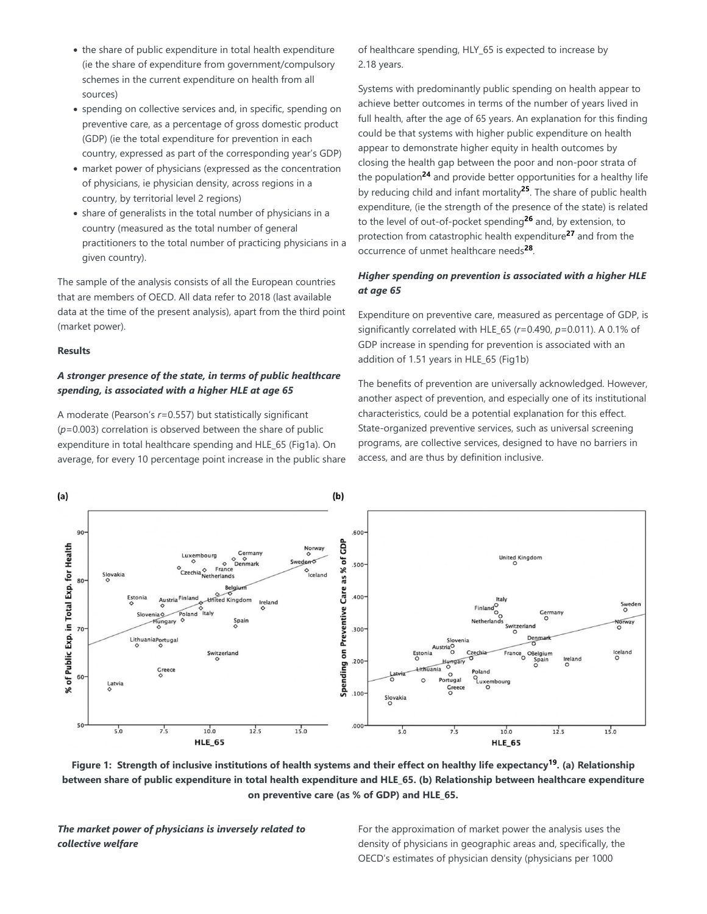- the share of public expenditure in total health expenditure (ie the share of expenditure from government/compulsory schemes in the current expenditure on health from all sources)
- spending on collective services and, in specific, spending on preventive care, as a percentage of gross domestic product (GDP) (ie the total expenditure for prevention in each country, expressed as part of the corresponding year's GDP)
- market power of physicians (expressed as the concentration of physicians, ie physician density, across regions in a country, by territorial level 2 regions)
- share of generalists in the total number of physicians in a country (measured as the total number of general practitioners to the total number of practicing physicians in a given country).

The sample of the analysis consists of all the European countries that are members of OECD. All data refer to 2018 (last available data at the time of the present analysis), apart from the third point (market power).

#### **Results**

## *A stronger presence of the state, in terms of public healthcare spending, is associated with a higher HLE at age 65*

A moderate (Pearson's *r*=0.557) but statistically significant (*p*=0.003) correlation is observed between the share of public expenditure in total healthcare spending and HLE\_65 (Fig1a). On average, for every 10 percentage point increase in the public share of healthcare spending, HLY 65 is expected to increase by 2.18 years.

Systems with predominantly public spending on health appear to achieve better outcomes in terms of the number of years lived in full health, after the age of 65 years. An explanation for this finding could be that systems with higher public expenditure on health appear to demonstrate higher equity in health outcomes by closing the health gap between the poor and non-poor strata of the population<sup>24</sup> and provide better opportunities for a healthy life by reducing child and infant mortality<sup>25</sup>. The share of public health expenditure, (ie the strength of the presence of the state) is related to the level of out-of-pocket spending<sup>26</sup> and, by extension, to protection from catastrophic health expenditure<sup>27</sup> and from the occurrence of unmet healthcare needs<sup>28</sup>.

### *Higher spending on prevention is associated with a higher HLE at age 65*

Expenditure on preventive care, measured as percentage of GDP, is significantly correlated with HLE\_65 (*r*=0.490, *p*=0.011). A 0.1% of GDP increase in spending for prevention is associated with an addition of 1.51 years in HLE\_65 (Fig1b)

The benefits of prevention are universally acknowledged. However, another aspect of prevention, and especially one of its institutional characteristics, could be a potential explanation for this effect. State-organized preventive services, such as universal screening programs, are collective services, designed to have no barriers in access, and are thus by definition inclusive.



Figure 1: Strength of inclusive institutions of health systems and their effect on healthy life expectancy<sup>19</sup>. (a) Relationship between share of public expenditure in total health expenditure and HLE 65. (b) Relationship between healthcare expenditure **on preventive care (as % of GDP) and HLE\_65.**

*The market power of physicians is inversely related to collective welfare*

For the approximation of market power the analysis uses the density of physicians in geographic areas and, specifically, the OECD's estimates of physician density (physicians per 1000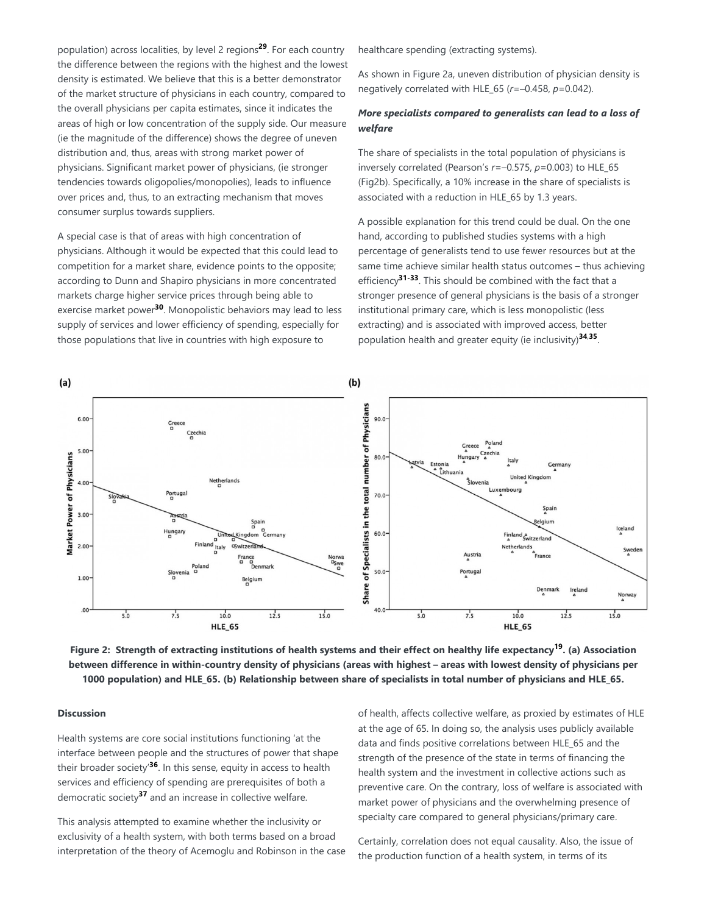population) across localities, by level 2 regions<sup>29</sup>. For each country the difference between the regions with the highest and the lowest density is estimated. We believe that this is a better demonstrator of the market structure of physicians in each country, compared to the overall physicians per capita estimates, since it indicates the areas of high or low concentration of the supply side. Our measure (ie the magnitude of the difference) shows the degree of uneven distribution and, thus, areas with strong market power of physicians. Significant market power of physicians, (ie stronger tendencies towards oligopolies/monopolies), leads to influence over prices and, thus, to an extracting mechanism that moves consumer surplus towards suppliers.

A special case is that of areas with high concentration of physicians. Although it would be expected that this could lead to competition for a market share, evidence points to the opposite; according to Dunn and Shapiro physicians in more concentrated markets charge higher service prices through being able to exercise market power<sup>30</sup>. Monopolistic behaviors may lead to less supply of services and lower efficiency of spending, especially for those populations that live in countries with high exposure to

healthcare spending (extracting systems).

As shown in Figure 2a, uneven distribution of physician density is negatively correlated with HLE\_65 (*r*=–0.458, *p*=0.042).

### *More specialists compared to generalists can lead to a loss of welfare*

The share of specialists in the total population of physicians is inversely correlated (Pearson's *r*=–0.575, *p*=0.003) to HLE\_65 (Fig2b). Specifically, a 10% increase in the share of specialists is associated with a reduction in HLE\_65 by 1.3 years.

A possible explanation for this trend could be dual. On the one hand, according to published studies systems with a high percentage of generalists tend to use fewer resources but at the same time achieve similar health status outcomes – thus achieving efficiency<sup>31-33</sup>. This should be combined with the fact that a stronger presence of general physicians is the basis of a stronger institutional primary care, which is less monopolistic (less extracting) and is associated with improved access, better population health and greater equity (ie inclusivity)<sup>34,35</sup>.



Figure 2: Strength of extracting institutions of health systems and their effect on healthy life expectancy<sup>19</sup>. (a) Association **between difference in within-country density of physicians (areas with highest – areas with lowest density of physicians per 1000 population) and HLE\_65. (b) Relationship between share of specialists in total number of physicians and HLE\_65.**

#### **Discussion**

Health systems are core social institutions functioning 'at the interface between people and the structures of power that shape their broader society'<sup>36</sup>. In this sense, equity in access to health services and efficiency of spending are prerequisites of both a democratic society<sup>37</sup> and an increase in collective welfare.

This analysis attempted to examine whether the inclusivity or exclusivity of a health system, with both terms based on a broad interpretation of the theory of Acemoglu and Robinson in the case of health, affects collective welfare, as proxied by estimates of HLE at the age of 65. In doing so, the analysis uses publicly available data and finds positive correlations between HLE\_65 and the strength of the presence of the state in terms of financing the health system and the investment in collective actions such as preventive care. On the contrary, loss of welfare is associated with market power of physicians and the overwhelming presence of specialty care compared to general physicians/primary care.

Certainly, correlation does not equal causality. Also, the issue of the production function of a health system, in terms of its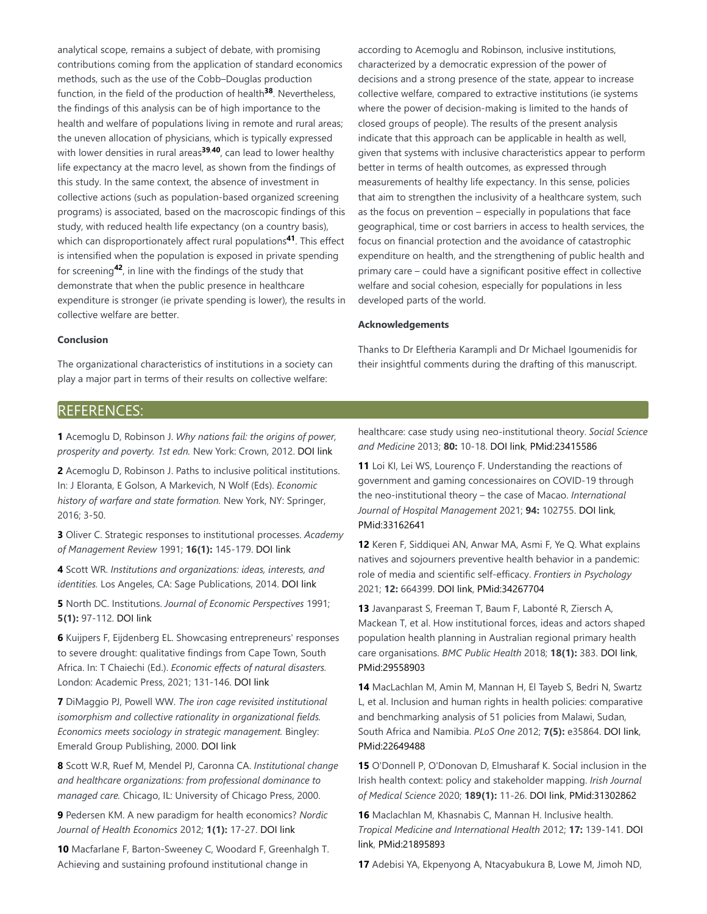analytical scope, remains a subject of debate, with promising contributions coming from the application of standard economics methods, such as the use of the Cobb–Douglas production function, in the field of the production of health<sup>38</sup>. Nevertheless, the findings of this analysis can be of high importance to the health and welfare of populations living in remote and rural areas; the uneven allocation of physicians, which is typically expressed with lower densities in rural areas<sup>39,40</sup>, can lead to lower healthy life expectancy at the macro level, as shown from the findings of this study. In the same context, the absence of investment in collective actions (such as population-based organized screening programs) is associated, based on the macroscopic findings of this study, with reduced health life expectancy (on a country basis), which can disproportionately affect rural populations<sup>41</sup>. This effect is intensified when the population is exposed in private spending for screening<sup>42</sup>, in line with the findings of the study that demonstrate that when the public presence in healthcare expenditure is stronger (ie private spending is lower), the results in collective welfare are better.

according to Acemoglu and Robinson, inclusive institutions, characterized by a democratic expression of the power of decisions and a strong presence of the state, appear to increase collective welfare, compared to extractive institutions (ie systems where the power of decision-making is limited to the hands of closed groups of people). The results of the present analysis indicate that this approach can be applicable in health as well, given that systems with inclusive characteristics appear to perform better in terms of health outcomes, as expressed through measurements of healthy life expectancy. In this sense, policies that aim to strengthen the inclusivity of a healthcare system, such as the focus on prevention – especially in populations that face geographical, time or cost barriers in access to health services, the focus on financial protection and the avoidance of catastrophic expenditure on health, and the strengthening of public health and primary care – could have a significant positive effect in collective welfare and social cohesion, especially for populations in less developed parts of the world.

#### **Acknowledgements**

### **Conclusion**

The organizational characteristics of institutions in a society can play a major part in terms of their results on collective welfare:

Thanks to Dr Eleftheria Karampli and Dr Michael Igoumenidis for their insightful comments during the drafting of this manuscript.

## REFERENCES:

**1** Acemoglu D, Robinson J. *Why nations fail: the origins of power, prosperity and poverty. 1st edn.* New York: Crown, 2012. DOI link

**2** Acemoglu D, Robinson J. Paths to inclusive political institutions. In: J Eloranta, E Golson, A Markevich, N Wolf (Eds). *Economic history of warfare and state formation.* New York, NY: Springer, 2016; 3-50.

**3** Oliver C. Strategic responses to institutional processes. *Academy of Management Review* 1991; **16(1):** 145-179. DOI link

**4** Scott WR. *Institutions and organizations: ideas, interests, and identities.* Los Angeles, CA: Sage Publications, 2014. DOI link

**5** North DC. Institutions. *Journal of Economic Perspectives* 1991; **5(1):** 97-112. DOI link

**6** Kuijpers F, Eijdenberg EL. Showcasing entrepreneurs' responses to severe drought: qualitative findings from Cape Town, South Africa. In: T Chaiechi (Ed.). *Economic effects of natural disasters.* London: Academic Press, 2021; 131-146. DOI link

**7** DiMaggio PJ, Powell WW. *The iron cage revisited institutional isomorphism and collective rationality in organizational fields. Economics meets sociology in strategic management.* Bingley: Emerald Group Publishing, 2000. DOI link

**8** Scott W.R, Ruef M, Mendel PJ, Caronna CA. *Institutional change and healthcare organizations: from professional dominance to managed care.* Chicago, IL: University of Chicago Press, 2000.

**9** Pedersen KM. A new paradigm for health economics? *Nordic Journal of Health Economics* 2012; **1(1):** 17-27. DOI link

**10** Macfarlane F, Barton-Sweeney C, Woodard F, Greenhalgh T. Achieving and sustaining profound institutional change in

healthcare: case study using neo-institutional theory. *Social Science and Medicine* 2013; **80:** 10-18. DOI link, PMid:23415586

**11** Loi KI, Lei WS, Lourenço F. Understanding the reactions of government and gaming concessionaires on COVID-19 through the neo-institutional theory – the case of Macao. *International Journal of Hospital Management* 2021; **94:** 102755. DOI link, PMid:33162641

**12** Keren F, Siddiquei AN, Anwar MA, Asmi F, Ye Q. What explains natives and sojourners preventive health behavior in a pandemic: role of media and scientific self-efficacy. *Frontiers in Psychology* 2021; **12:** 664399. DOI link, PMid:34267704

**13** Javanparast S, Freeman T, Baum F, Labonté R, Ziersch A, Mackean T, et al. How institutional forces, ideas and actors shaped population health planning in Australian regional primary health care organisations. *BMC Public Health* 2018; **18(1):** 383. DOI link, PMid:29558903

**14** MacLachlan M, Amin M, Mannan H, El Tayeb S, Bedri N, Swartz L, et al. Inclusion and human rights in health policies: comparative and benchmarking analysis of 51 policies from Malawi, Sudan, South Africa and Namibia. *PLoS One* 2012; **7(5):** e35864. DOI link, PMid:22649488

**15** O'Donnell P, O'Donovan D, Elmusharaf K. Social inclusion in the Irish health context: policy and stakeholder mapping. *Irish Journal of Medical Science* 2020; **189(1):** 11-26. DOI link, PMid:31302862

**16** Maclachlan M, Khasnabis C, Mannan H. Inclusive health. *Tropical Medicine and International Health* 2012; **17:** 139-141. DOI link, PMid:21895893

**17** Adebisi YA, Ekpenyong A, Ntacyabukura B, Lowe M, Jimoh ND,